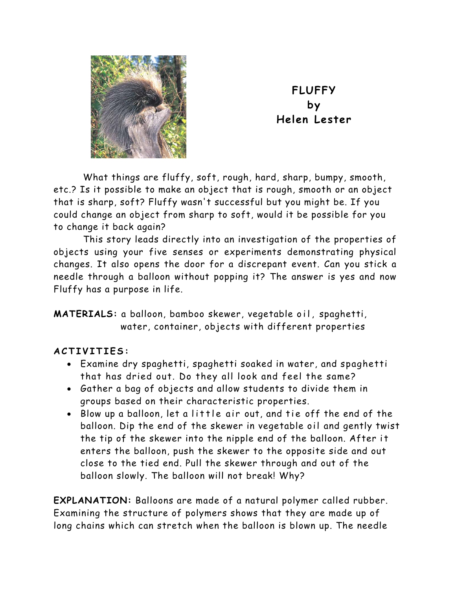

**FLUFFY by Helen Lester** 

What things are fluffy, soft, rough, hard, sharp, bumpy, smooth, etc.? Is it possible to make an object that is rough, smooth or an object that is sharp, soft? Fluffy wasn't successful but you might be. If you could change an object from sharp to soft, would it be possible for you to change it back again?

This story leads directly into an investigation of the properties of objects using your five senses or experiments demonstrating physical changes. It also opens the door for a discrepant event. Can you stick a needle through a balloon without popping it? The answer is yes and now Fluffy has a purpose in life.

**MATERIALS:** a balloon, bamboo skewer, vegetable oil, spaghetti, water, container, objects with different properties

## **ACTIVITIES:**

- Examine dry spaghetti, spaghetti soaked in water, and spaghetti that has dried out. Do they all look and feel the same?
- Gather a bag of objects and allow students to divide them in groups based on their characteristic properties.
- Blow up a balloon, let a little air out, and tie off the end of the balloon. Dip the end of the skewer in vegetable oil and gently twist the tip of the skewer into the nipple end of the balloon. After it enters the balloon, push the skewer to the opposite side and out close to the tied end. Pull the skewer through and out of the balloon slowly. The balloon will not break! Why?

**EXPLANATION:** Balloons are made of a natural polymer called rubber. Examining the structure of polymers shows that they are made up of long chains which can stretch when the balloon is blown up. The needle